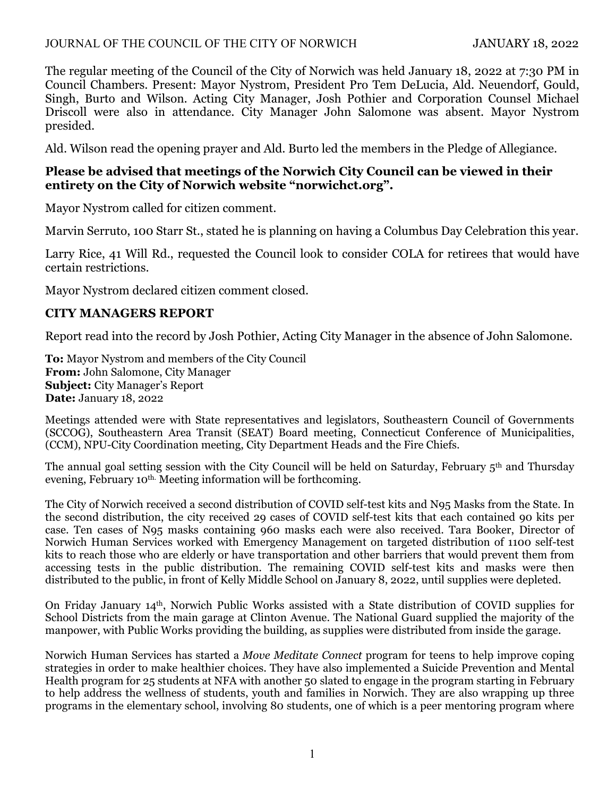### JOURNAL OF THE COUNCIL OF THE CITY OF NORWICH JANUARY 18, 2022

The regular meeting of the Council of the City of Norwich was held January 18, 2022 at 7:30 PM in Council Chambers. Present: Mayor Nystrom, President Pro Tem DeLucia, Ald. Neuendorf, Gould, Singh, Burto and Wilson. Acting City Manager, Josh Pothier and Corporation Counsel Michael Driscoll were also in attendance. City Manager John Salomone was absent. Mayor Nystrom presided.

Ald. Wilson read the opening prayer and Ald. Burto led the members in the Pledge of Allegiance.

## **Please be advised that meetings of the Norwich City Council can be viewed in their entirety on the City of Norwich website "norwichct.org".**

Mayor Nystrom called for citizen comment.

Marvin Serruto, 100 Starr St., stated he is planning on having a Columbus Day Celebration this year.

Larry Rice, 41 Will Rd., requested the Council look to consider COLA for retirees that would have certain restrictions.

Mayor Nystrom declared citizen comment closed.

## **CITY MANAGERS REPORT**

Report read into the record by Josh Pothier, Acting City Manager in the absence of John Salomone.

**To:** Mayor Nystrom and members of the City Council **From:** John Salomone, City Manager **Subject:** City Manager's Report **Date:** January 18, 2022

Meetings attended were with State representatives and legislators, Southeastern Council of Governments (SCCOG), Southeastern Area Transit (SEAT) Board meeting, Connecticut Conference of Municipalities, (CCM), NPU-City Coordination meeting, City Department Heads and the Fire Chiefs.

The annual goal setting session with the City Council will be held on Saturday, February 5<sup>th</sup> and Thursday evening, February 10<sup>th.</sup> Meeting information will be forthcoming.

The City of Norwich received a second distribution of COVID self-test kits and N95 Masks from the State. In the second distribution, the city received 29 cases of COVID self-test kits that each contained 90 kits per case. Ten cases of N95 masks containing 960 masks each were also received. Tara Booker, Director of Norwich Human Services worked with Emergency Management on targeted distribution of 1100 self-test kits to reach those who are elderly or have transportation and other barriers that would prevent them from accessing tests in the public distribution. The remaining COVID self-test kits and masks were then distributed to the public, in front of Kelly Middle School on January 8, 2022, until supplies were depleted.

On Friday January 14th, Norwich Public Works assisted with a State distribution of COVID supplies for School Districts from the main garage at Clinton Avenue. The National Guard supplied the majority of the manpower, with Public Works providing the building, as supplies were distributed from inside the garage.

Norwich Human Services has started a *Move Meditate Connect* program for teens to help improve coping strategies in order to make healthier choices. They have also implemented a Suicide Prevention and Mental Health program for 25 students at NFA with another 50 slated to engage in the program starting in February to help address the wellness of students, youth and families in Norwich. They are also wrapping up three programs in the elementary school, involving 80 students, one of which is a peer mentoring program where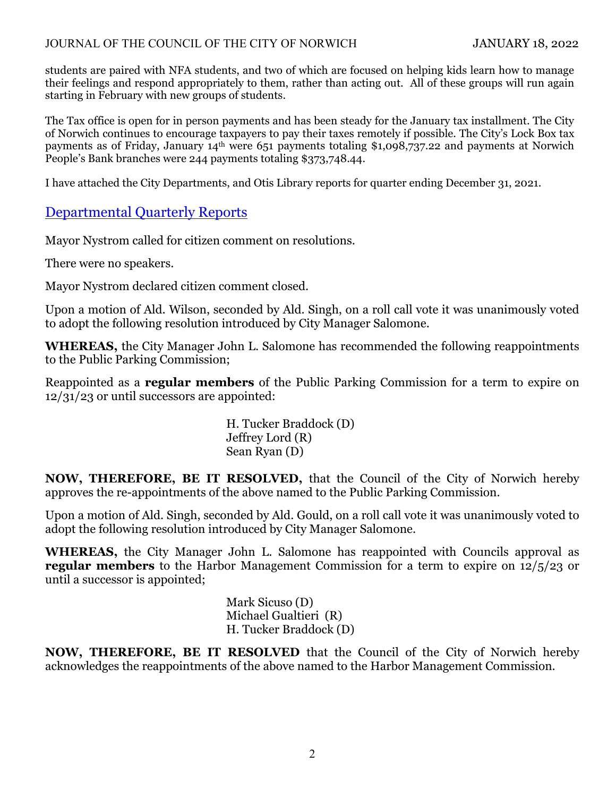#### JOURNAL OF THE COUNCIL OF THE CITY OF NORWICH JANUARY 18, 2022

students are paired with NFA students, and two of which are focused on helping kids learn how to manage their feelings and respond appropriately to them, rather than acting out. All of these groups will run again starting in February with new groups of students.

The Tax office is open for in person payments and has been steady for the January tax installment. The City of Norwich continues to encourage taxpayers to pay their taxes remotely if possible. The City's Lock Box tax payments as of Friday, January 14<sup>th</sup> were 651 payments totaling \$1,098,737.22 and payments at Norwich People's Bank branches were 244 payments totaling \$373,748.44.

I have attached the City Departments, and Otis Library reports for quarter ending December 31, 2021.

# Departmental Quarterly Reports

Mayor Nystrom called for citizen comment on resolutions.

There were no speakers.

Mayor Nystrom declared citizen comment closed.

Upon a motion of Ald. Wilson, seconded by Ald. Singh, on a roll call vote it was unanimously voted to adopt the following resolution introduced by City Manager Salomone.

**WHEREAS,** the City Manager John L. Salomone has recommended the following reappointments to the Public Parking Commission;

Reappointed as a **regular members** of the Public Parking Commission for a term to expire on 12/31/23 or until successors are appointed:

> H. Tucker Braddock (D) Jeffrey Lord (R) Sean Ryan (D)

**NOW, THEREFORE, BE IT RESOLVED,** that the Council of the City of Norwich hereby approves the re-appointments of the above named to the Public Parking Commission.

Upon a motion of Ald. Singh, seconded by Ald. Gould, on a roll call vote it was unanimously voted to adopt the following resolution introduced by City Manager Salomone.

**WHEREAS,** the City Manager John L. Salomone has reappointed with Councils approval as **regular members** to the Harbor Management Commission for a term to expire on 12/5/23 or until a successor is appointed;

> Mark Sicuso (D) Michael Gualtieri (R) H. Tucker Braddock (D)

**NOW, THEREFORE, BE IT RESOLVED** that the Council of the City of Norwich hereby acknowledges the reappointments of the above named to the Harbor Management Commission.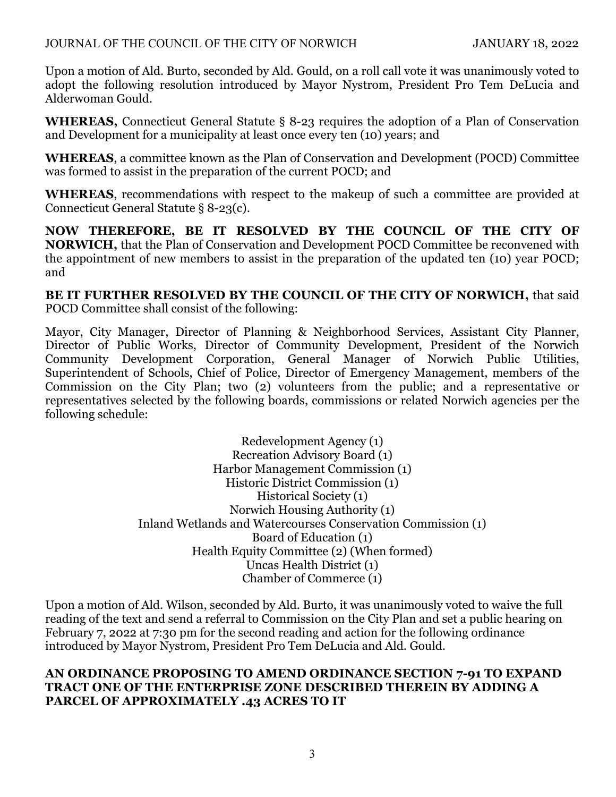#### JOURNAL OF THE COUNCIL OF THE CITY OF NORWICH JANUARY 18, 2022

Upon a motion of Ald. Burto, seconded by Ald. Gould, on a roll call vote it was unanimously voted to adopt the following resolution introduced by Mayor Nystrom, President Pro Tem DeLucia and Alderwoman Gould.

**WHEREAS,** Connecticut General Statute § 8-23 requires the adoption of a Plan of Conservation and Development for a municipality at least once every ten (10) years; and

**WHEREAS**, a committee known as the Plan of Conservation and Development (POCD) Committee was formed to assist in the preparation of the current POCD; and

**WHEREAS**, recommendations with respect to the makeup of such a committee are provided at Connecticut General Statute § 8-23(c).

**NOW THEREFORE, BE IT RESOLVED BY THE COUNCIL OF THE CITY OF NORWICH,** that the Plan of Conservation and Development POCD Committee be reconvened with the appointment of new members to assist in the preparation of the updated ten (10) year POCD; and

**BE IT FURTHER RESOLVED BY THE COUNCIL OF THE CITY OF NORWICH,** that said POCD Committee shall consist of the following:

Mayor, City Manager, Director of Planning & Neighborhood Services, Assistant City Planner, Director of Public Works, Director of Community Development, President of the Norwich Community Development Corporation, General Manager of Norwich Public Utilities, Superintendent of Schools, Chief of Police, Director of Emergency Management, members of the Commission on the City Plan; two (2) volunteers from the public; and a representative or representatives selected by the following boards, commissions or related Norwich agencies per the following schedule:

> Redevelopment Agency (1) Recreation Advisory Board (1) Harbor Management Commission (1) Historic District Commission (1) Historical Society (1) Norwich Housing Authority (1) Inland Wetlands and Watercourses Conservation Commission (1) Board of Education (1) Health Equity Committee (2) (When formed) Uncas Health District (1) Chamber of Commerce (1)

Upon a motion of Ald. Wilson, seconded by Ald. Burto, it was unanimously voted to waive the full reading of the text and send a referral to Commission on the City Plan and set a public hearing on February 7, 2022 at 7:30 pm for the second reading and action for the following ordinance introduced by Mayor Nystrom, President Pro Tem DeLucia and Ald. Gould.

#### **AN ORDINANCE PROPOSING TO AMEND ORDINANCE SECTION 7-91 TO EXPAND TRACT ONE OF THE ENTERPRISE ZONE DESCRIBED THEREIN BY ADDING A PARCEL OF APPROXIMATELY .43 ACRES TO IT**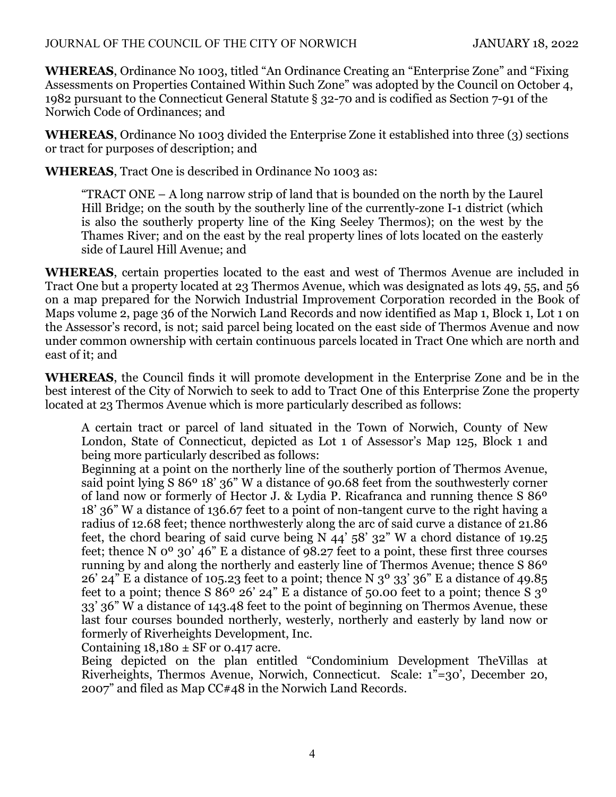**WHEREAS**, Ordinance No 1003, titled "An Ordinance Creating an "Enterprise Zone" and "Fixing Assessments on Properties Contained Within Such Zone" was adopted by the Council on October 4, 1982 pursuant to the Connecticut General Statute § 32-70 and is codified as Section 7-91 of the Norwich Code of Ordinances; and

**WHEREAS**, Ordinance No 1003 divided the Enterprise Zone it established into three (3) sections or tract for purposes of description; and

**WHEREAS**, Tract One is described in Ordinance No 1003 as:

"TRACT ONE – A long narrow strip of land that is bounded on the north by the Laurel Hill Bridge; on the south by the southerly line of the currently-zone I-1 district (which is also the southerly property line of the King Seeley Thermos); on the west by the Thames River; and on the east by the real property lines of lots located on the easterly side of Laurel Hill Avenue; and

**WHEREAS**, certain properties located to the east and west of Thermos Avenue are included in Tract One but a property located at 23 Thermos Avenue, which was designated as lots 49, 55, and 56 on a map prepared for the Norwich Industrial Improvement Corporation recorded in the Book of Maps volume 2, page 36 of the Norwich Land Records and now identified as Map 1, Block 1, Lot 1 on the Assessor's record, is not; said parcel being located on the east side of Thermos Avenue and now under common ownership with certain continuous parcels located in Tract One which are north and east of it; and

**WHEREAS**, the Council finds it will promote development in the Enterprise Zone and be in the best interest of the City of Norwich to seek to add to Tract One of this Enterprise Zone the property located at 23 Thermos Avenue which is more particularly described as follows:

A certain tract or parcel of land situated in the Town of Norwich, County of New London, State of Connecticut, depicted as Lot 1 of Assessor's Map 125, Block 1 and being more particularly described as follows:

Beginning at a point on the northerly line of the southerly portion of Thermos Avenue, said point lying S 86º 18' 36" W a distance of 90.68 feet from the southwesterly corner of land now or formerly of Hector J. & Lydia P. Ricafranca and running thence S 86º 18' 36" W a distance of 136.67 feet to a point of non-tangent curve to the right having a radius of 12.68 feet; thence northwesterly along the arc of said curve a distance of 21.86 feet, the chord bearing of said curve being N 44' 58' 32" W a chord distance of 19.25 feet; thence N 0º 30' 46" E a distance of 98.27 feet to a point, these first three courses running by and along the northerly and easterly line of Thermos Avenue; thence S 86º  $26'$  24" E a distance of 105.23 feet to a point; thence N  $3<sup>o</sup>$  33' 36" E a distance of 49.85 feet to a point; thence S  $86^{\circ}$  26' 24" E a distance of 50.00 feet to a point; thence S  $3^{\circ}$ 33' 36" W a distance of 143.48 feet to the point of beginning on Thermos Avenue, these last four courses bounded northerly, westerly, northerly and easterly by land now or formerly of Riverheights Development, Inc.

Containing  $18,180 \pm SF$  or 0.417 acre.

Being depicted on the plan entitled "Condominium Development TheVillas at Riverheights, Thermos Avenue, Norwich, Connecticut. Scale: 1"=30', December 20, 2007" and filed as Map CC#48 in the Norwich Land Records.